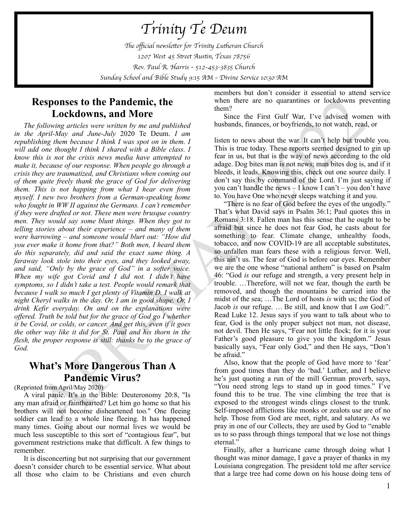*Trini*ty *Te Deum* Th*e o*ffi*cial newsle*tt*er for Trini*ty *Lu*th*eran Church 1207 West 45 S*tr*eet Aus*ti*n, Texas 78756 Rev. Paul R. Harris* – *512-453-3835 Church Sunday School and Bible Study 9:15 AM* – *Divine Service 10:30 AM* 

## **Responses to the Pandemic, the Lockdowns, and More**

**Responses to the Pandemic, the**<br>
usen then the main of the main of the cold own is the main of the main of the main of the main of the main of the main of the main of the main of the main of the main of the main of the m *The following articles were written by me and published in the April-May and June-July* 2020 Te Deum. *I am republishing them because I think I was spot on in them. I will add one thought I think I shared with a Bible class. I know this is not the crisis news media have attempted to make it, because of our response. When people go through a crisis they are traumatized, and Christians when coming out of them quite freely thank the grace of God for delivering them. This is not happing from what I hear even from myself. I new two brothers from a German-speaking home who fought in WW II against the Germans. I can't remember if they were drafted or not. These men were brusque country men. They would say some blunt things. When they got to telling stories about their experience – and many of them were harrowing – and someone would blurt out: "How did you ever make it home from that?" Both men, I heard them do this separately, did and said the exact same thing. A faraway look stole into their eyes, and they looked away, and said, "Only by the grace of God" in a softer voice. When my wife got Covid and I did not. I didn't have symptoms, so I didn't take a test. People would remark that because I walk so much I get plenty of Vitamin D. I walk at night Cheryl walks in the day. Or, I am in good shape. Or, I drink Kefir everyday. On and on the explanations were offered. Truth be told but for the grace of God go I whether it be Covid, or colds, or cancer. And get this, even if it goes the other way like it did for St. Paul and his thorn in the flesh, the proper response is still: thanks be to the grace of God.*

### **What's More Dangerous Than A Pandemic Virus?**

(Reprinted from April/May 2020)

A viral panic. It's in the Bible: Deuteronomy 20:8, "Is any man afraid or fainthearted? Let him go home so that his brothers will not become disheartened too." One fleeing soldier can lead to a whole line fleeing. It has happened many times. Going about our normal lives we would be much less susceptible to this sort of "contagious fear", but government restrictions make that difficult. A few things to remember.

It is disconcerting but not surprising that our government doesn't consider church to be essential service. What about all those who claim to be Christians and even church members but don't consider it essential to attend service when there are no quarantines or lockdowns preventing them?

Since the First Gulf War, I've advised women with husbands, finances, or boyfriends, to not watch, read, or

listen to news about the war. It can't help but trouble you. This is true today. These reports seemed designed to gin up fear in us, but that is the way of news according to the old adage. Dog bites man is not news; man bites dog is, and if it bleeds, it leads. Knowing this, check out one source daily. I don't say this by command of the Lord. I'm just saying if you can't handle the news  $-$  I know I can't – you don't have to. You have One who never sleeps watching it and you.

"There is no fear of God before the eyes of the ungodly." That's what David says in Psalm 36:1; Paul quotes this in Romans 3:18. Fallen man has this sense that he ought to be afraid but since he does not fear God, he casts about for something to fear. Climate change, unhealthy foods, tobacco, and now COVID-19 are all acceptable substitutes, so unfallen man fears these with a religious fervor. Well, this ain't us. The fear of God is before our eyes. Remember we are the one whose "national anthem" is based on Psalm 46: "God *is* our refuge and strength, a very present help in trouble. …Therefore, will not we fear, though the earth be removed, and though the mountains be carried into the midst of the sea; …The Lord of hosts *is* with us; the God of Jacob *is* our refuge. … Be still, and know that I *am* God:". Read Luke 12. Jesus says if you want to talk about who to fear, God is the only proper subject not man, not disease, not devil. Then He says, "Fear not little flock; for it is your Father's good pleasure to give you the kingdom." Jesus basically says, "Fear only God," and then He says, "Don't be afraid."

Also, know that the people of God have more to 'fear' from good times than they do 'bad.' Luther, and I believe he's just quoting a run of the mill German proverb, says, "You need strong legs to stand up in good times." I've found this to be true. The vine climbing the tree that is exposed to the strongest winds clings closest to the trunk. Self-imposed afflictions like monks or zealots use are of no help. Those from God are meet, right, and salutary. As we pray in one of our Collects, they are used by God to "enable us to so pass through things temporal that we lose not things eternal."

Finally, after a hurricane came through doing what I thought was minor damage, I gave a prayer of thanks in my Louisiana congregation. The president told me after service that a large tree had come down on his house doing tens of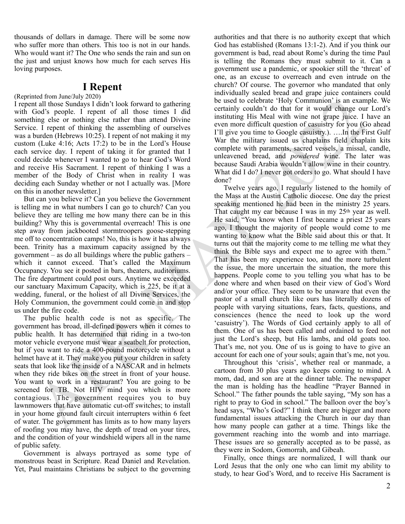thousands of dollars in damage. There will be some now who suffer more than others. This too is not in our hands. Who would want it? The One who sends the rain and sun on the just and unjust knows how much for each serves His loving purposes.

### **I Repent**

(Reprinted from June/July 2020)

I repent all those Sundays I didn't look forward to gathering with God's people. I repent of all those times I did something else or nothing else rather than attend Divine Service. I repent of thinking the assembling of ourselves was a burden (Hebrews 10:25). I repent of not making it my custom (Luke 4:16; Acts 17:2) to be in the Lord's House each service day. I repent of taking it for granted that I could decide whenever I wanted to go to hear God's Word and receive His Sacrament. I repent of thinking I was a member of the Body of Christ when in reality I was deciding each Sunday whether or not I actually was. [More on this in another newsletter.]

But can you believe it? Can you believe the Government is telling me in what numbers I can go to church? Can you believe they are telling me how many there can be in this building? Why this is governmental overreach! This is one step away from jackbooted stormtroopers goose-stepping me off to concentration camps! No, this is how it has always been. Trinity has a maximum capacity assigned by the government – as do all buildings where the public gathers – which it cannot exceed. That's called the Maximum Occupancy. You see it posted in bars, theaters, auditoriums. The fire department could post ours. Anytime we exceeded our sanctuary Maximum Capacity, which is 225, be it at a wedding, funeral, or the holiest of all Divine Services, the Holy Communion, the government could come in and stop us under the fire code.

The public health code is not as specific. The government has broad, ill-defined powers when it comes to public health. It has determined that riding in a two-ton motor vehicle everyone must wear a seatbelt for protection, but if you want to ride a 400-pound motorcycle without a helmet have at it. They make you put your children in safety seats that look like the inside of a NASCAR and in helmets when they ride bikes on the street in front of your house. You want to work in a restaurant? You are going to be screened for TB. Not HIV mind you which is more contagious. The government requires you to buy lawnmowers that have automatic cut-off switches; to install in your home ground fault circuit interrupters within 6 feet of water. The government has limits as to how many layers of roofing you may have, the depth of tread on your tires, and the condition of your windshield wipers all in the name of public safety.

Government is always portrayed as some type of monstrous beast in Scripture. Read Daniel and Revelation. Yet, Paul maintains Christians be subject to the governing authorities and that there is no authority except that which God has established (Romans 13:1-2). And if you think our government is bad, read about Rome's during the time Paul is telling the Romans they must submit to it. Can a government use a pandemic, or spookier still the 'threat' of one, as an excuse to overreach and even intrude on the church? Of course. The governor who mandated that only individually sealed bread and grape juice containers could be used to celebrate 'Holy Communion' is an example. We certainly couldn't do that for it would change our Lord's instituting His Meal with wine not grape juice. I have an even more difficult question of casuistry for you (Go ahead I'll give you time to Google casuistry.). ….In the First Gulf War the military issued us chaplains field chaplain kits complete with paraments, sacred vessels, a missal, candle, unleavened bread, and *powdered* wine. The later was because Saudi Arabia wouldn't allow wine in their country. What did I do? I never got orders to go. What should I have done?

and the based of the based of the based of electrons is an example of the based of the based of the based of the based of the based of the based of the based of the based of the based of the based of the based of the base Twelve years ago, I regularly listened to the homily of the Mass at the Austin Catholic diocese. One day the priest speaking mentioned he had been in the ministry 25 years. That caught my ear because I was in my 25<sup>th</sup> year as well. He said, "You know when I first became a priest 25 years ago, I thought the majority of people would come to me wanting to know what the Bible said about this or that. It turns out that the majority come to me telling me what they think the Bible says and expect me to agree with them." That has been my experience too, and the more turbulent the issue, the more uncertain the situation, the more this happens. People come to you telling you what has to be done where and when based on their view of God's Word and/or your office. They seem to be unaware that even the pastor of a small church like ours has literally dozens of people with varying situations, fears, facts, questions, and consciences (hence the need to look up the word 'casuistry'). The Words of God certainly apply to all of them. One of us has been called and ordained to feed not just the Lord's sheep, but His lambs, and old goats too. That's me, not you. One of us is going to have to give an account for each one of your souls; again that's me, not you.

Throughout this 'crisis', whether real or manmade, a cartoon from 30 plus years ago keeps coming to mind. A mom, dad, and son are at the dinner table. The newspaper the man is holding has the headline "Prayer Banned in School." The father pounds the table saying, "My son has a right to pray to God in school." The balloon over the boy's head says, "Who's God?" I think there are bigger and more fundamental issues attacking the Church in our day than how many people can gather at a time. Things like the government reaching into the womb and into marriage. These issues are so generally accepted as to be passé, as they were in Sodom, Gomorrah, and Gibeah.

Finally, once things are normalized, I will thank our Lord Jesus that the only one who can limit my ability to study, to hear God's Word, and to receive His Sacrament is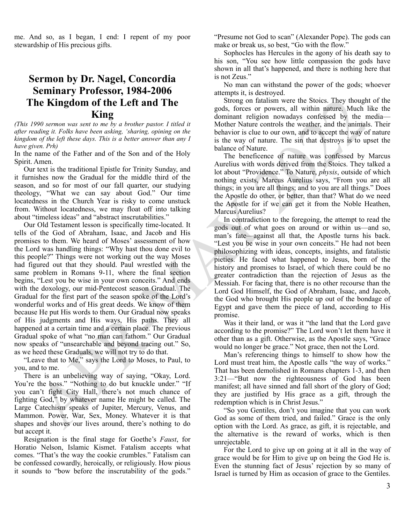me. And so, as I began, I end: I repent of my poor stewardship of His precious gifts.

## **Sermon by Dr. Nagel, Concordia Seminary Professor, 1984-2006 The Kingdom of the Left and The King**

*(This 1990 sermon was sent to me by a brother pastor. I titled it after reading it. Folks have been asking, 'sharing, opining on the kingdom of the left these days. This is a better answer than any I have given. Prh)*

In the name of the Father and of the Son and of the Holy Spirit. Amen.

Our text is the traditional Epistle for Trinity Sunday, and it furnishes now the Gradual for the middle third of the season, and so for most of our fall quarter, our studying theology, "What we can say about God." Our time locatedness in the Church Year is risky to come unstuck from. Without locatedness, we may float off into talking about "timeless ideas" and "abstract inscrutabilities."

**he Kingdom of the Left and The**<br>
Sign on factom we the Noise interparent in the same set of the same of the same of the same of the same of the same of the same interparent related by the same of the same of the same of Our Old Testament lesson is specifically time-located. It tells of the God of Abraham, Isaac, and Jacob and His promises to them. We heard of Moses' assessment of how the Lord was handling things: "Why hast thou done evil to this people?" Things were not working out the way Moses had figured out that they should. Paul wrestled with the same problem in Romans 9-11, where the final section begins, "Lest you be wise in your own conceits." And ends with the doxology, our mid-Pentecost season Gradual. The Gradual for the first part of the season spoke of the Lord's wonderful works and of His great deeds. We know of them because He put His words to them. Our Gradual now speaks of His judgments and His ways, His paths. They all happened at a certain time and a certain place. The previous Gradual spoke of what "no man can fathom." Our Gradual now speaks of "unsearchable and beyond tracing out." So, as we heed these Graduals, we will not try to do that.

"Leave that to Me," says the Lord to Moses, to Paul, to you, and to me.

There is an unbelieving way of saying, "Okay, Lord. You're the boss." "Nothing to do but knuckle under." "If you can't fight City Hall, there's not much chance of fighting God," by whatever name He might be called. The Large Catechism speaks of Jupiter, Mercury, Venus, and Mammon. Power, War, Sex, Money. Whatever it is that shapes and shoves our lives around, there's nothing to do but accept it.

Resignation is the final stage for Goethe's *Faust*, for Horatio Nelson, Islamic Kismet. Fatalism accepts what comes. "That's the way the cookie crumbles." Fatalism can be confessed cowardly, heroically, or religiously. How pious it sounds to "bow before the inscrutability of the gods."

"Presume not God to scan" (Alexander Pope). The gods can make or break us, so best, "Go with the flow."

Sophocles has Hercules in the agony of his death say to his son, "You see how little compassion the gods have shown in all that's happened, and there is nothing here that is not Zeus."

No man can withstand the power of the gods; whoever attempts it, is destroyed.

Strong on fatalism were the Stoics. They thought of the gods, forces or powers, all within nature. Much like the dominant religion nowadays confessed by the media— Mother Nature controls the weather, and the animals. Their behavior is clue to our own, and to accept the way of nature is the way of nature. The sin that destroys is to upset the balance of Nature.

The beneficence of nature was confessed by Marcus Aurelius with words derived from the Stoics. They talked a lot about "Providence." To Nature, *physis*, outside of which nothing exists, Marcus Aurelius says, "From you are all things; in you are all things; and to you are all things." Does the Apostle do other, or better, than that? What do we need the Apostle for if we can get it from the Noble Heathen, Marcus Aurelius?

In contradiction to the foregoing, the attempt to read the gods out of what goes on around or within us—and so, man's fate—against all that, the Apostle turns his back. "Lest you be wise in your own conceits." He had not been philosophizing with ideas, concepts, insights, and fatalistic pieties. He faced what happened to Jesus, born of the history and promises to Israel, of which there could be no greater contradiction than the rejection of Jesus as the Messiah. For facing that, there is no other recourse than the Lord God Himself, the God of Abraham, Isaac, and Jacob, the God who brought His people up out of the bondage of Egypt and gave them the piece of land, according to His promise.

Was it their land, or was it "the land that the Lord gave according to the promise?" The Lord won't let them have it other than as a gift. Otherwise, as the Apostle says, "Grace would no longer be grace." Not grace, then not the Lord.

Man's referencing things to himself to show how the Lord must treat him, the Apostle calls "the way of works." That has been demolished in Romans chapters 1-3, and then 3:21—"But now the righteousness of God has been manifest; all have sinned and fall short of the glory of God; they are justified by His grace as a gift, through the redemption which is in Christ Jesus."

"So you Gentiles, don't you imagine that you can work God as some of them tried, and failed." Grace is the only option with the Lord. As grace, as gift, it is rejectable, and the alternative is the reward of works, which is then unrejectable.

For the Lord to give up on going at it all in the way of grace would be for Him to give up on being the God He is. Even the stunning fact of Jesus' rejection by so many of Israel is turned by Him as occasion of grace to the Gentiles.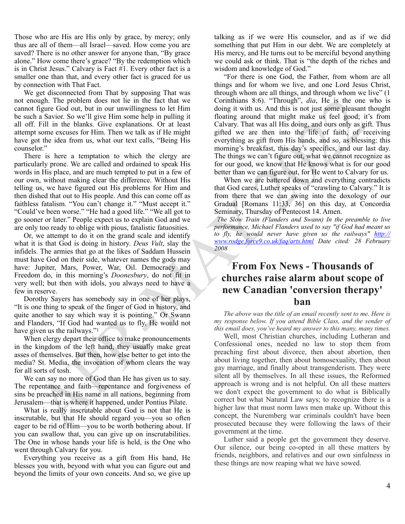Those who are His are His only by grace, by mercy; only thus are all of them—all Israel—saved. How come you are saved? There is no other answer for anyone than, "By grace alone." How come there's grace? "By the redemption which is in Christ Jesus." Calvary is Fact #1. Every other fact is a smaller one than that, and every other fact is graced for us by connection with That Fact.

We get disconnected from That by supposing That was not enough. The problem does not lie in the fact that we cannot figure God out, but in our unwillingness to let Him be such a Savior. So we'll give Him some help in pulling it all off. Fill in the blanks. Give explanations. Or at least attempt some excuses for Him. Then we talk as if He might have got the idea from us, what our text calls, "Being His counselor."

There is here a temptation to which the clergy are particularly prone. We are called and ordained to speak His words in His place, and are much tempted to put in a few of our own, without making clear the difference. Without His telling us, we have figured out His problems for Him and then dished that out to His people. And this can come off as faithless fatalism. "You can't change it." "Must accept it." "Could've been worse." "He had a good life." "We all got to go sooner or later." People expect us to explain God and we are only too ready to oblige with pious, fatalistic fatuosities.

Or, we attempt to do it on the grand scale and identify what it is that God is doing in history. *Deus Vult*, slay the infidels. The armies that go at the likes of Saddam Hussein must have God on their side, whatever names the gods may have: Jupiter, Mars, Power, War, Oil. Democracy and Freedom do, in this morning's *Doonesbury*, do not fit in very well; but then with idols, you always need to have a few in reserve.

Dorothy Sayers has somebody say in one of her plays, "It is one thing to speak of the finger of God in history, and quite another to say which way it is pointing." Or Swann and Flanders, "If God had wanted us to fly, He would not have given us the railways."1

When clergy depart their office to make pronouncements in the kingdom of the left hand, they usually make great asses of themselves. But then, how else better to get into the media? St. Media, the invocation of whom clears the way for all sorts of tosh.

We can say no more of God than He has given us to say. The repentance and faith—repentance and forgiveness of sins be preached in His name in all nations, beginning from Jerusalem—that is where it happened, under Pontius Pilate.

What is really inscrutable about God is not that He is inscrutable, but that He should regard you—you so often eager to be rid of Him—you to be worth bothering about. If you can swallow that, you can give up on inscrutabilities. The One in whose hands your life is held, is the One who went through Calvary for you.

Everything you receive as a gift from His hand, He blesses you with, beyond with what you can figure out and beyond the limits of your own conceits. And so, we give up talking as if we were His counselor, and as if we did something that put Him in our debt. We are completely at His mercy, and He turns out to be merciful beyond anything we could ask or think. That is "the depth of the riches and wisdom and knowledge of God."

"For there is one God, the Father, from whom are all things and for whom we live, and one Lord Jesus Christ, through whom are all things, and through whom we live" (1 Corinthians 8:6). "Through", *dia*, He is the one who is doing it with us. And this is not just some pleasant thought floating around that might make us feel good; it's from Calvary. That was all His doing, and ours only as gift. Thus gifted we are then into the life of faith, of receiving everything as gift from His hands, and so, as blessing: this morning's breakfast, this day's specifics, and our last day. The things we can't figure out, what we cannot recognize as for our good, we know that He knows what is for our good better than we can figure out, for He went to Calvary for us.

When we are battered down and everything contradicts that God cares, Luther speaks of "crawling to Calvary." It is from there that we can swing into the doxology of our Gradual [Romans 11:33, 36] on this day, at Concordia Seminary, Thursday of Pentecost 14. Amen.

 *The Slow Train (Flanders and Swann) In the preamble to live performance, Michael Flanders used to say "if God had meant us to fly, he would never have given us the railways" [http://](http://www.rodge.force9.co.uk/faq/arts.html) www.rodge.force9.co.uk/faq/arts.html Date cited: 28 February 2008*

# **From Fox News - Thousands of churches raise alarm about scope of new Canadian 'conversion therapy' ban**

*The above was the title of an email recently sent to me. Here is my response below. If you attend Bible Class, and the sender of this email does, you've heard my answer to this many, many times.*

ong). The problem does not be in the fact that we consider the proposity, doe, He le one as two states in the sixe of the internal and a Savin state of the sixe in a Savin state of the sixe of the sixe of the sixe of the Well, most Christian churches, including Lutheran and Confessional ones, needed no law to stop them from preaching first about divorce, then about abortion, then about living together, then about homosexuality, then about gay marriage, and finally about transgenderism. They were silent all by themselves. In all these issues, the Reformed approach is wrong and is not helpful. On all these matters we don't expect the government to do what is Biblically correct but what Natural Law says; to recognize there is a higher law that must norm laws men make up. Without this concept, the Nuremberg war criminals couldn't have been prosecuted because they were following the laws of their government at the time.

Luther said a people get the government they deserve. Our silence, our being co-opted in all these matters by friends, neighbors, and relatives and our own sinfulness in these things are now reaping what we have sowed.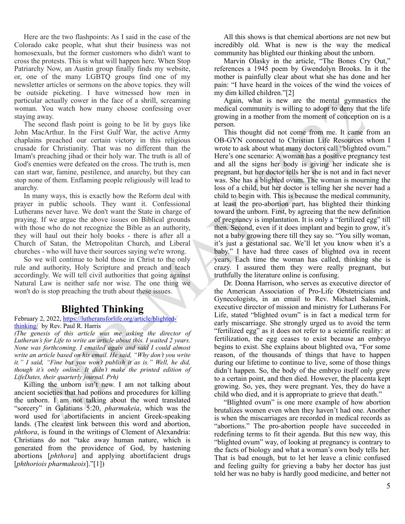Here are the two flashpoints: As I said in the case of the Colorado cake people, what shut their business was not homosexuals, but the former customers who didn't want to cross the protests. This is what will happen here. When Stop Patriarchy Now, an Austin group finally finds my website, or, one of the many LGBTQ groups find one of my newsletter articles or sermons on the above topics. they will be outside picketing. I have witnessed how men in particular actually cower in the face of a shrill, screaming woman. You watch how many choose confessing over staying away.

The second flash point is going to be lit by guys like John MacArthur. In the First Gulf War, the active Army chaplains preached our certain victory in this religious crusade for Christianity. That was no different than the Imam's preaching jihad or their holy war. The truth is all of God's enemies were defeated on the cross. The truth is, men can start war, famine, pestilence, and anarchy, but they can stop none of them. Enflaming people religiously will lead to anarchy.

In many ways, this is exactly how the Reform deal with prayer in public schools. They want it. Confessional Lutherans never have. We don't want the State in charge of praying. If we argue the above issues on Biblical grounds with those who do not recognize the Bible as an authority, they will haul out their holy books - there is after all a Church of Satan, the Metropolitan Church, and Liberal churches - who will have their sources saying we're wrong.

So we will continue to hold those in Christ to the only rule and authority, Holy Scripture and preach and teach accordingly. We will tell civil authorities that going against Natural Law is neither safe nor wise. The one thing we won't do is stop preaching the truth about these issues.

### **Blighted Thinking**

February 2, 2022, https://lutheransforlife.org/article/blighted[thinking/](https://lutheransforlife.org/article/blighted-thinking/) by Rev. Paul R. Harris

*(The genesis of this article was me asking the director of Lutheran's for Life to write an article about this. I waited 2 years. None was forthcoming. I emailed again and said I could almost write an article based on his email. He said, "Why don't you write it." I said, "Fine but you won't publish it as is." Well, he did, though it's only online. It didn't make the printed edition of LifeDates, their quarterly journal. Prh)*

Killing the unborn isn't new. I am not talking about ancient societies that had potions and procedures for killing the unborn. I am not talking about the word translated "sorcery" in Galatians 5:20, *pharmakeia*, which was the word used for abortifacients in ancient Greek-speaking lands. (The clearest link between this word and abortion, *phthora*, is found in the writings of Clement of Alexandria: Christians do not "take away human nature, which is generated from the providence of God, by hastening abortions [*phthora*] and applying abortifacient drugs [*phthoriois pharmakeois*]."[1])

All this shows is that chemical abortions are not new but incredibly old. What is new is the way the medical community has blighted our thinking about the unborn.

Marvin Olasky in the article, "The Bones Cry Out," references a 1945 poem by Gwendolyn Brooks. In it the mother is painfully clear about what she has done and her pain: "I have heard in the voices of the wind the voices of my dim killed children."[2]

Again, what is new are the mental gymnastics the medical community is willing to adopt to deny that the life growing in a mother from the moment of conception on is a person.

Ar are column the face of cost shift, screening a constant is also in the meantal gamas.<br>An architect in the fit is a second that is a second that is a second that is a second that by the second that the rise is a second This thought did not come from me. It came from an OB-GYN connected to Christian Life Resources whom I wrote to ask about what many doctors call "blighted ovum." Here's one scenario: A woman has a positive pregnancy test and all the signs her body is giving her indicate she is pregnant, but her doctor tells her she is not and in fact never was. She has a blighted ovum. The woman is mourning the loss of a child, but her doctor is telling her she never had a child to begin with. This is because the medical community, at least the pro-abortion part, has blighted their thinking toward the unborn. First, by agreeing that the new definition of pregnancy is implantation. It is only a "fertilized egg" till then. Second, even if it does implant and begin to grow, it's not a baby growing there till they say so. "You silly woman, it's just a gestational sac. We'll let you know when it's a baby." I have had three cases of blighted ova in recent years. Each time the woman has called, thinking she is crazy. I assured them they were really pregnant, but truthfully the literature online is confusing.

Dr. Donna Harrison, who serves as executive director of the American Association of Pro-Life Obstetricians and Gynecologists, in an email to Rev. Michael Salemink, executive director of mission and ministry for Lutherans For Life, stated "blighted ovum" is in fact a medical term for early miscarriage. She strongly urged us to avoid the term "fertilized egg" as it does not refer to a scientific reality: at fertilization, the egg ceases to exist because an embryo begins to exist. She explains about blighted ova, "For some reason, of the thousands of things that have to happen during our lifetime to continue to live, some of those things didn't happen. So, the body of the embryo itself only grew to a certain point, and then died. However, the placenta kept growing. So, yes, they were pregnant. Yes, they do have a child who died, and it is appropriate to grieve that death."

"Blighted ovum" is one more example of how abortion brutalizes women even when they haven't had one. Another is when the miscarriages are recorded in medical records as "abortions." The pro-abortion people have succeeded in redefining terms to fit their agenda. But this new way, this "blighted ovum" way, of looking at pregnancy is contrary to the facts of biology and what a woman's own body tells her. That is bad enough, but to let her leave a clinic confused and feeling guilty for grieving a baby her doctor has just told her was no baby is hardly good medicine, and better not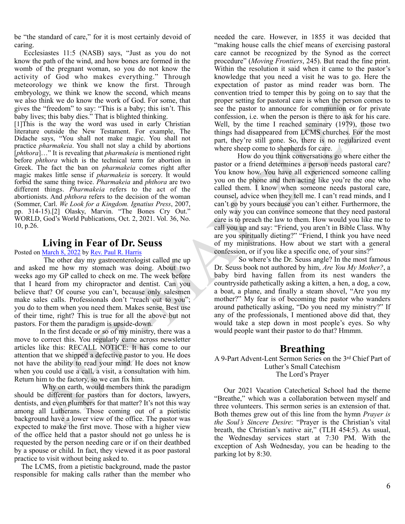be "the standard of care," for it is most certainly devoid of caring.

Ecclesiastes 11:5 (NASB) says, "Just as you do not know the path of the wind, and how bones are formed in the womb of the pregnant woman, so you do not know the activity of God who makes everything." Through meteorology we think we know the first. Through embryology, we think we know the second, which means we also think we do know the work of God. For some, that gives the "freedom" to say: "This is a baby; this isn't. This baby lives; this baby dies." That is blighted thinking.

of this we do know the work of Geod Fortsome, that propressional case is when the restoration of the same of the same of the same of the same of the same of the same of the same of the same of the same of the same of the [1]This is the way the word was used in early Christian literature outside the New Testament. For example, The Didache says, "You shall not make magic. You shall not practice *pharmakeia*. You shall not slay a child by abortions [*phthora*]…" It is revealing that *pharmakeia* is mentioned right before *phthora* which is the technical term for abortion in Greek. The fact the ban on *pharmakeia* comes right after magic makes little sense if *pharmakeia* is sorcery. It would forbid the same thing twice. *Pharmakeia* and *phthora* are two different things. *Pharmakeia* refers to the act of the abortionists. And *phthora* refers to the decision of the woman (Sommer, Carl. *We Look for a Kingdom. Ignatius Press*, 2007, pp. 314-15).[2] Olasky, Marvin. "The Bones Cry Out." WORLD, God's World Publications, Oct. 2, 2021. Vol. 36, No. 10, p.26.

### **Living in Fear of Dr. Seuss**

Posted on March 8, 2022 by Rev. Paul R. Harris

 The other day my gastroenterologist called me up and asked me how my stomach was doing. About two weeks ago my GP called to check on me. The week before that I heard from my chiropractor and dentist. Can you believe that? Of course you can't, because only salesmen make sales calls. Professionals don't "reach out to you"; you do to them when you need them. Makes sense. Best use of their time, right? This is true for all the above but not pastors. For them the paradigm is upside-down.

 In the first decade or so of my ministry, there was a move to correct this. You regularly came across newsletter articles like this: RECALL NOTICE: It has come to our attention that we shipped a defective pastor to you. He does not have the ability to read your mind. He does not know when you could use a call, a visit, a consultation with him. Return him to the factory, so we can fix him.

 Why on earth, would members think the paradigm should be different for pastors than for doctors, lawyers, dentists, and even plumbers for that matter? It's not this way among all Lutherans. Those coming out of a pietistic background have a lower view of the office. The pastor was expected to make the first move. Those with a higher view of the office held that a pastor should not go unless he is requested by the person needing care or if on their deathbed by a spouse or child. In fact, they viewed it as poor pastoral practice to visit without being asked to.

 The LCMS, from a pietistic background, made the pastor responsible for making calls rather than the member who needed the care. However, in 1855 it was decided that "making house calls the chief means of exercising pastoral care cannot be recognized by the Synod as the correct procedure" (*Moving Frontiers*, 245). But read the fine print. Within the resolution it said when it came to the pastor's knowledge that you need a visit he was to go. Here the expectation of pastor as mind reader was born. The convention tried to temper this by going on to say that the proper setting for pastoral care is when the person comes to see the pastor to announce for communion or for private confession, i.e. when the person is there to ask for his care. Well, by the time I reached seminary (1979), those two things had disappeared from LCMS churches. For the most part, they're still gone. So, there is no regularized event where sheep come to shepherds for care.

 How do you think conversations go where either the pastor or a friend determines a person needs pastoral care? You know how. You have all experienced someone calling you on the phone and then acting like you're the one who called them. I know when someone needs pastoral care, counsel, advice when they tell me. I can't read minds, and I can't go by yours because you can't either. Furthermore, the only way you can convince someone that they need pastoral care is to preach the law to them. How would you like me to call you up and say: "Friend, you aren't in Bible Class. Why are you spiritually dieting?" "Friend, I think you have need of my ministrations. How about we start with a general confession, or if you like a specific one, of your sins?"

 So where's the Dr. Seuss angle? In the most famous Dr. Seuss book not authored by him, *Are You My Mother?*, a baby bird having fallen from its nest wanders the countryside pathetically asking a kitten, a hen, a dog, a cow, a boat, a plane, and finally a steam shovel, "Are you my mother?" My fear is of becoming the pastor who wanders around pathetically asking, "Do you need my ministry?" If any of the professionals, I mentioned above did that, they would take a step down in most people's eyes. So why would people want their pastor to do that? Hmmm.

### **Breathing**

A 9-Part Advent-Lent Sermon Series on the 3rd Chief Part of Luther's Small Catechism The Lord's Prayer

Our 2021 Vacation Catechetical School had the theme "Breathe," which was a collaboration between myself and three volunteers. This sermon series is an extension of that. Both themes grew out of this line from the hymn *Prayer is the Soul's Sincere Desire*: "Prayer is the Christian's vital breath, the Christian's native air," (TLH 454:5). As usual, the Wednesday services start at 7:30 PM. With the exception of Ash Wednesday, you can be heading to the parking lot by 8:30.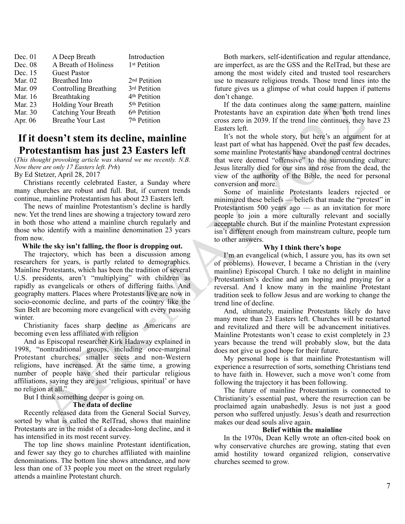| Dec. 01   | A Deep Breath                | Introduction             |
|-----------|------------------------------|--------------------------|
| Dec. 08   | A Breath of Holiness         | 1 <sup>st</sup> Petition |
| Dec. 15   | <b>Guest Pastor</b>          |                          |
| Mar. 02   | <b>Breathed Into</b>         | 2 <sup>nd</sup> Petition |
| Mar. 09   | <b>Controlling Breathing</b> | 3rd Petition             |
| Mar. 16   | <b>Breathtaking</b>          | 4 <sup>th</sup> Petition |
| Mar. 23   | <b>Holding Your Breath</b>   | 5 <sup>th</sup> Petition |
| Mar. 30   | <b>Catching Your Breath</b>  | 6th Petition             |
| Apr. $06$ | <b>Breathe Your Last</b>     | 7 <sup>th</sup> Petition |
|           |                              |                          |

### **If it doesn't stem its decline, mainline Protestantism has just 23 Easters left**

(*This thought provoking article was shared we me recently. N.B. Now there are only 17 Easters left. Prh*)

By Ed Stetzer, April 28, 2017 Christians recently celebrated Easter, a Sunday where many churches are robust and full. But, if current trends

continue, mainline Protestantism has about 23 Easters left. The news of mainline Protestantism's decline is hardly

new. Yet the trend lines are showing a trajectory toward zero in both those who attend a mainline church regularly and those who identify with a mainline denomination 23 years from now.

#### **While the sky isn't falling, the floor is dropping out.**

Becausing the periodic of the resulting in the set of the set of the set of the set of the set of the set of the set of the set of the set of the set of the set of the set of the set of the set of the set of the set of th The trajectory, which has been a discussion among researchers for years, is partly related to demographics. Mainline Protestants, which has been the tradition of several U.S. presidents, aren't "multiplying" with children as rapidly as evangelicals or others of differing faiths. And geography matters. Places where Protestants live are now in socio-economic decline, and parts of the country like the Sun Belt are becoming more evangelical with every passing winter.

Christianity faces sharp decline as Americans are becoming even less affiliated with religion

And as Episcopal researcher Kirk Hadaway explained in 1998, "nontraditional groups, including once-marginal Protestant churches, smaller sects and non-Western religions, have increased. At the same time, a growing number of people have shed their particular religious affiliations, saying they are just 'religious, spiritual' or have no religion at all."

But I think something deeper is going on.

#### **The data of decline**

Recently released data from the General Social Survey, sorted by what is called the RelTrad, shows that mainline Protestants are in the midst of a decades-long decline, and it has intensified in its most recent survey.

The top line shows mainline Protestant identification, and fewer say they go to churches affiliated with mainline denominations. The bottom line shows attendance, and now less than one of 33 people you meet on the street regularly attends a mainline Protestant church.

Both markers, self-identification and regular attendance, are imperfect, as are the GSS and the RelTrad, but these are among the most widely cited and trusted tool researchers use to measure religious trends. Those trend lines into the future gives us a glimpse of what could happen if patterns don't change.

If the data continues along the same pattern, mainline Protestants have an expiration date when both trend lines cross zero in 2039. If the trend line continues, they have 23 Easters left.

It's not the whole story, but here's an argument for at least part of what has happened. Over the past few decades, some mainline Protestants have abandoned central doctrines that were deemed "offensive" to the surrounding culture: Jesus literally died for our sins and rose from the dead, the view of the authority of the Bible, the need for personal conversion and more.

Some of mainline Protestants leaders rejected or minimized these beliefs — beliefs that made the "protest" in Protestantism 500 years ago — as an invitation for more people to join a more culturally relevant and socially acceptable church. But if the mainline Protestant expression isn't different enough from mainstream culture, people turn to other answers.

#### **Why I think there's hope**

I'm an evangelical (which, I assure you, has its own set of problems). However, I became a Christian in the (very mainline) Episcopal Church. I take no delight in mainline Protestantism's decline and am hoping and praying for a reversal. And I know many in the mainline Protestant tradition seek to follow Jesus and are working to change the trend line of decline.

And, ultimately, mainline Protestants likely do have many more than 23 Easters left. Churches will be restarted and revitalized and there will be advancement initiatives. Mainline Protestants won't cease to exist completely in 23 years because the trend will probably slow, but the data does not give us good hope for their future.

My personal hope is that mainline Protestantism will experience a resurrection of sorts, something Christians tend to have faith in. However, such a move won't come from following the trajectory it has been following.

The future of mainline Protestantism is connected to Christianity's essential past, where the resurrection can be proclaimed again unabashedly. Jesus is not just a good person who suffered unjustly. Jesus's death and resurrection makes our dead souls alive again.

#### **Belief within the mainline**

In the 1970s, Dean Kelly wrote an often-cited book on why conservative churches are growing, stating that even amid hostility toward organized religion, conservative churches seemed to grow.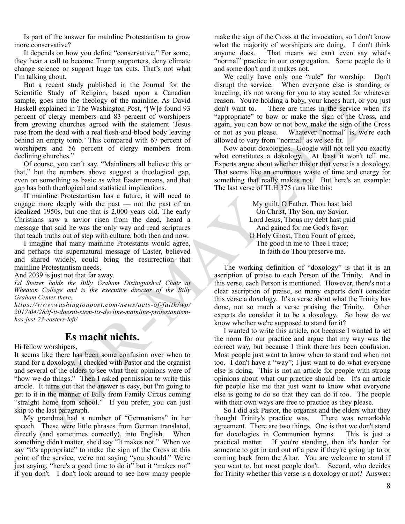Is part of the answer for mainline Protestantism to grow more conservative?

It depends on how you define "conservative." For some, they hear a call to become Trump supporters, deny climate change science or support huge tax cuts. That's not what I'm talking about.

But a recent study published in the Journal for the Scientific Study of Religion, based upon a Canadian sample, goes into the theology of the mainline. As David Haskell explained in The Washington Post, "[W]e found 93 percent of clergy members and 83 percent of worshipers from growing churches agreed with the statement 'Jesus rose from the dead with a real flesh-and-blood body leaving behind an empty tomb.' This compared with 67 percent of worshipers and 56 percent of clergy members from declining churches."

Of course, you can't say, "Mainliners all believe this or that," but the numbers above suggest a theological gap, even on something as basic as what Easter means, and that gap has both theological and statistical implications.

If mainline Protestantism has a future, it will need to engage more deeply with the past — not the past of an idealized 1950s, but one that is 2,000 years old. The early Christians saw a savior risen from the dead, heard a message that said he was the only way and read scriptures that teach truths out of step with culture, both then and now.

I imagine that many mainline Protestants would agree, and perhaps the supernatural message of Easter, believed and shared widely, could bring the resurrection that mainline Protestantism needs.

And 2039 is just not that far away.

*Ed Stetzer holds the Billy Graham Distinguished Chair at Wheaton College and is the executive director of the Billy Graham Center there.*

*https://www.washingtonpost.com/news/acts-of-faith/wp/ 2017/04/28/if-it-doesnt-stem-its-decline-mainline-protestantismhas-just-23-easters-left/*

### **Es macht nichts.**

Hi fellow worshipers,

It seems like there has been some confusion over when to stand for a doxology. I checked with Pastor and the organist and several of the elders to see what their opinions were of "how we do things." Then I asked permission to write this article. It turns out that the answer is easy, but I'm going to get to it in the manner of Billy from Family Circus coming "straight home from school." If you prefer, you can just skip to the last paragraph.

My grandma had a number of "Germanisms" in her speech. These were little phrases from German translated, directly (and sometimes correctly), into English. When something didn't matter, she'd say "It makes not." When we say "it's appropriate" to make the sign of the Cross at this point of the service, we're not saying "you should." We're just saying, "here's a good time to do it" but it "makes not" if you don't. I don't look around to see how many people

make the sign of the Cross at the invocation, so I don't know what the majority of worshipers are doing. I don't think anyone does. That means we can't even say what's "normal" practice in our congregation. Some people do it and some don't and it makes not.

We really have only one "rule" for worship: Don't disrupt the service. When everyone else is standing or kneeling, it's not wrong for you to stay seated for whatever reason. You're holding a baby, your knees hurt, or you just don't want to. There are times in the service when it's "appropriate" to bow or make the sign of the Cross, and again, you can bow or not bow, make the sign of the Cross or not as you please. Whatever "normal" is, we're each allowed to vary from "normal" as we see fit.

Now about doxologies. Google will not tell you exactly what constitutes a doxology. At least it won't tell me. Experts argue about whether this or that verse is a doxology. That seems like an enormous waste of time and energy for something that really makes not. But here's an example: The last verse of TLH 375 runs like this:

> My guilt, O Father, Thou hast laid On Christ, Thy Son, my Savior. Lord Jesus, Thous my debt hast paid And gained for me God's favor. O Holy Ghost, Thou Fount of grace, The good in me to Thee I trace; In faith do Thou preserve me.

The working definition of "doxology" is that it is an ascription of praise to each Person of the Trinity. And in this verse, each Person is mentioned. However, there's not a clear ascription of praise, so many experts don't consider this verse a doxology. It's a verse about what the Trinity has done, not so much a verse praising the Trinity. Other experts do consider it to be a doxology. So how do we know whether we're supposed to stand for it?

s gos into the behavior of main<br>line, a between the space in the Vashington Post, "We found 93<br>don't want to. There are times in the space of of department of order are times and 82 percept means and 82 percept means the I wanted to write this article, not because I wanted to set the norm for our practice and argue that my way was the correct way, but because I think there has been confusion. Most people just want to know when to stand and when not too. I don't have a "way"; I just want to do what everyone else is doing. This is not an article for people with strong opinions about what our practice should be. It's an article for people like me that just want to know what everyone else is going to do so that they can do it too. The people with their own ways are free to practice as they please.

So I did ask Pastor, the organist and the elders what they thought Trinity's practice was. There was remarkable agreement. There are two things. One is that we don't stand for doxologies in Communion hymns. This is just a practical matter. If you're standing, then it's harder for someone to get in and out of a pew if they're going up to or coming back from the Altar. You are welcome to stand if you want to, but most people don't. Second, who decides for Trinity whether this verse is a doxology or not? Answer: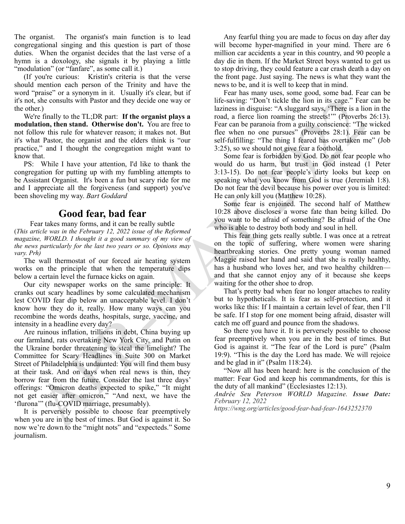The organist. The organist's main function is to lead congregational singing and this question is part of those duties. When the organist decides that the last verse of a hymn is a doxology, she signals it by playing a little "modulation" (or "fanfare", as some call it.)

(If you're curious: Kristin's criteria is that the verse should mention each person of the Trinity and have the word "praise" or a synonym in it. Usually it's clear, but if it's not, she consults with Pastor and they decide one way or the other.)

We're finally to the TL;DR part: **If the organist plays a modulation, then stand. Otherwise don't.** You are free to not follow this rule for whatever reason; it makes not. But it's what Pastor, the organist and the elders think is "our practice," and I thought the congregation might want to know that.

PS: While I have your attention, I'd like to thank the congregation for putting up with my fumbling attempts to be Assistant Organist. It's been a fun but scary ride for me and I appreciate all the forgiveness (and support) you've been shoveling my way. *Bart Goddard*

### **Good fear, bad fear**

Fear takes many forms, and it can be really subtle (*This article was in the February 12, 2022 issue of the Reformed magazine, WORLD. I thought it a good summary of my view of the news particularly for the last two years or so. Opinions may vary. Prh)*

The wall thermostat of our forced air heating system works on the principle that when the temperature dips below a certain level the furnace kicks on again.

Our city newspaper works on the same principle: It cranks out scary headlines by some calculated mechanism lest COVID fear dip below an unacceptable level. I don't know how they do it, really. How many ways can you recombine the words deaths, hospitals, surge, vaccine, and intensity in a headline every day?

since chemily to the TLDR particular the particular tent in the same of the same of the final in the same of the channel and the same of the same of the same of the same of the same of the same of the same of the same of Are ruinous inflation, trillions in debt, China buying up our farmland, rats overtaking New York City, and Putin on the Ukraine border threatening to steal the limelight? The Committee for Scary Headlines in Suite 300 on Market Street of Philadelphia is undaunted: You will find them busy at their task. And on days when real news is thin, they borrow fear from the future. Consider the last three days' offerings: "Omicron deaths expected to spike," "It might not get easier after omicron," "And next, we have the 'flurona'" (flu-COVID marriage, presumably).

It is perversely possible to choose fear preemptively when you are in the best of times. But God is against it. So now we're down to the "might nots" and "expecteds." Some journalism.

Any fearful thing you are made to focus on day after day will become hyper-magnified in your mind. There are 6 million car accidents a year in this country, and 90 people a day die in them. If the Market Street boys wanted to get us to stop driving, they could feature a car crash death a day on the front page. Just saying. The news is what they want the news to be, and it is well to keep that in mind.

Fear has many uses, some good, some bad. Fear can be life-saving: "Don't tickle the lion in its cage." Fear can be laziness in disguise: "A sluggard says, 'There is a lion in the road, a fierce lion roaming the streets!'" (Proverbs 26:13). Fear can be paranoia from a guilty conscience: "The wicked flee when no one pursues" (Proverbs 28:1). Fear can be self-fulfilling: "The thing I feared has overtaken me" (Job 3:25), so we should not give fear a foothold.

Some fear is forbidden by God. Do not fear people who would do us harm, but trust in God instead (1 Peter 3:13-15). Do not fear people's dirty looks but keep on speaking what you know from God is true (Jeremiah 1:8). Do not fear the devil because his power over you is limited: He can only kill you (Matthew 10:28).

Some fear is enjoined. The second half of Matthew 10:28 above discloses a worse fate than being killed. Do you want to be afraid of something? Be afraid of the One who is able to destroy both body and soul in hell.

This fear thing gets really subtle. I was once at a retreat on the topic of suffering, where women were sharing heartbreaking stories. One pretty young woman named Maggie raised her hand and said that she is really healthy, has a husband who loves her, and two healthy children and that she cannot enjoy any of it because she keeps waiting for the other shoe to drop.

That's pretty bad when fear no longer attaches to reality but to hypotheticals. It is fear as self-protection, and it works like this: If I maintain a certain level of fear, then I'll be safe. If I stop for one moment being afraid, disaster will catch me off guard and pounce from the shadows.

So there you have it. It is perversely possible to choose fear preemptively when you are in the best of times. But God is against it. "The fear of the Lord is pure" (Psalm 19:9). "This is the day the Lord has made. We will rejoice and be glad in it" (Psalm 118:24).

"Now all has been heard: here is the conclusion of the matter: Fear God and keep his commandments, for this is the duty of all mankind" (Ecclesiastes 12:13).

*Andrée Seu Peterson WORLD Magazine. Issue Date: February 12, 2022*

*https://wng.org/articles/good-fear-bad-fear-1643252370*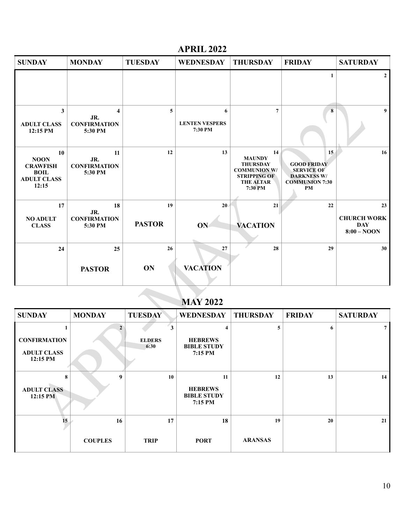## **APRIL 2022**

| <b>SUNDAY</b>                                                                      | <b>MONDAY</b>                               | <b>TUESDAY</b>             | <b>WEDNESDAY</b>                                                | <b>THURSDAY</b>                                                                                                     | <b>FRIDAY</b>                                                                                             | <b>SATURDAY</b>                                         |
|------------------------------------------------------------------------------------|---------------------------------------------|----------------------------|-----------------------------------------------------------------|---------------------------------------------------------------------------------------------------------------------|-----------------------------------------------------------------------------------------------------------|---------------------------------------------------------|
|                                                                                    |                                             |                            |                                                                 |                                                                                                                     | 1                                                                                                         | $\mathbf{2}$                                            |
|                                                                                    |                                             |                            |                                                                 |                                                                                                                     |                                                                                                           |                                                         |
| 3                                                                                  | $\overline{\bf{4}}$                         | 5                          | 6                                                               | $\overline{7}$                                                                                                      | $\bf{8}$                                                                                                  | 9 <sup>1</sup>                                          |
| <b>ADULT CLASS</b><br>12:15 PM                                                     | JR.<br><b>CONFIRMATION</b><br>5:30 PM       |                            | <b>LENTEN VESPERS</b><br>7:30 PM                                |                                                                                                                     |                                                                                                           |                                                         |
| 10<br><b>NOON</b><br><b>CRAWFISH</b><br><b>BOIL</b><br><b>ADULT CLASS</b><br>12:15 | 11<br>JR.<br><b>CONFIRMATION</b><br>5:30 PM | 12                         | 13                                                              | 14<br><b>MAUNDY</b><br><b>THURSDAY</b><br><b>COMMUNION W/</b><br><b>STRIPPING OF</b><br><b>THE ALTAR</b><br>7:30 PM | 15<br><b>GOOD FRIDAY</b><br><b>SERVICE OF</b><br><b>DARKNESS W/</b><br><b>COMMUNION 7:30</b><br><b>PM</b> | 16                                                      |
| 17<br><b>NO ADULT</b><br><b>CLASS</b>                                              | 18<br>JR.<br><b>CONFIRMATION</b><br>5:30 PM | 19<br><b>PASTOR</b>        | 20 <sub>1</sub><br>ON                                           | 21<br><b>VACATION</b>                                                                                               | 22                                                                                                        | 23<br><b>CHURCH WORK</b><br><b>DAY</b><br>$8:00 - NOOD$ |
|                                                                                    |                                             |                            |                                                                 |                                                                                                                     |                                                                                                           |                                                         |
| 24                                                                                 | 25                                          | 26                         | 27                                                              | 28                                                                                                                  | 29                                                                                                        | 30                                                      |
|                                                                                    | <b>PASTOR</b>                               | ON                         | <b>VACATION</b>                                                 |                                                                                                                     |                                                                                                           |                                                         |
|                                                                                    |                                             |                            |                                                                 |                                                                                                                     |                                                                                                           |                                                         |
|                                                                                    |                                             |                            | <b>MAY 2022</b>                                                 |                                                                                                                     |                                                                                                           |                                                         |
| <b>SUNDAY</b>                                                                      | <b>MONDAY</b>                               | <b>TUESDAY</b>             | <b>WEDNESDAY</b>                                                | <b>THURSDAY</b>                                                                                                     | <b>FRIDAY</b>                                                                                             | <b>SATURDAY</b>                                         |
| 1<br><b>CONFIRMATION</b>                                                           | $\overline{2}$                              | 3<br><b>ELDERS</b><br>6:30 | $\overline{\mathbf{4}}$<br><b>HEBREWS</b><br><b>BIBLE STUDY</b> | 5                                                                                                                   | 6                                                                                                         | $7\overline{ }$                                         |
| <b>ADULT CLASS</b><br>12:15 PM                                                     |                                             |                            | 7:15 PM                                                         |                                                                                                                     |                                                                                                           |                                                         |
| 8                                                                                  | 9                                           | 10                         | 11                                                              | 12                                                                                                                  | 13                                                                                                        | 14                                                      |
| <b>ADULT CLASS</b><br>12:15 PM                                                     |                                             |                            | <b>HEBREWS</b><br><b>BIBLE STUDY</b><br>7:15 PM                 |                                                                                                                     |                                                                                                           |                                                         |
| 15                                                                                 | 16                                          | 17                         | 18                                                              | 19                                                                                                                  | 20                                                                                                        | 21                                                      |

# **MAY 2022**

| <b>SUNDAY</b>                                              | <b>MONDAY</b>        | <b>TUESDAY</b>        | WEDNESDAY                                             | <b>THURSDAY</b>      | <b>FRIDAY</b> | <b>SATURDAY</b> |
|------------------------------------------------------------|----------------------|-----------------------|-------------------------------------------------------|----------------------|---------------|-----------------|
| 1<br><b>CONFIRMATION</b><br><b>ADULT CLASS</b><br>12:15 PM |                      | <b>ELDERS</b><br>6:30 | 4<br><b>HEBREWS</b><br><b>BIBLE STUDY</b><br>7:15 PM  | 5                    | 6             |                 |
| 8<br><b>ADULT CLASS</b><br>$12:15$ PM                      | $\mathbf Q$          | 10                    | 11<br><b>HEBREWS</b><br><b>BIBLE STUDY</b><br>7:15 PM | 12                   | 13            | 14              |
| 15                                                         | 16<br><b>COUPLES</b> | 17<br><b>TRIP</b>     | 18<br><b>PORT</b>                                     | 19<br><b>ARANSAS</b> | 20            | 21              |